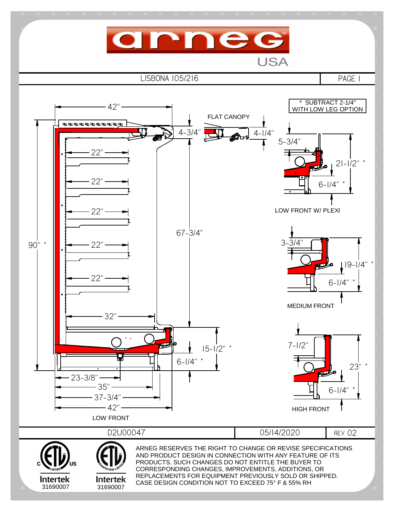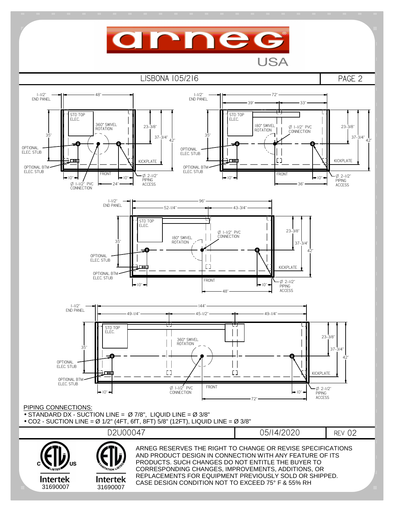